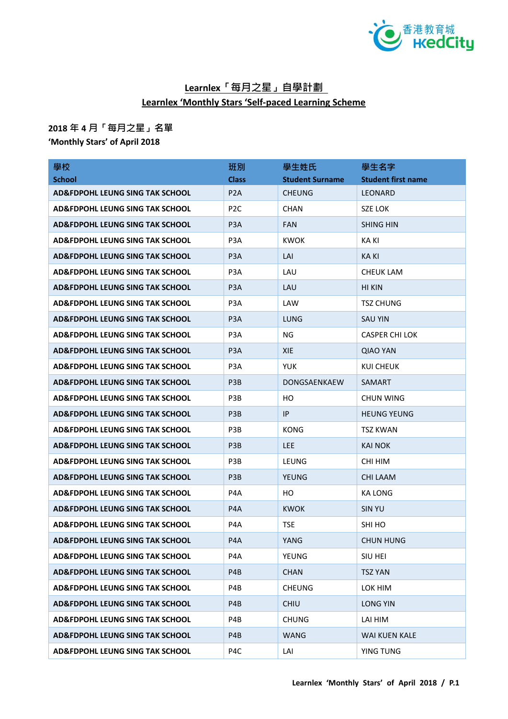

## **Learnlex「每月之星」自學計劃 Learnlex 'Monthly Stars 'Self-paced Learning Scheme**

## **2018 年 4 月「每月之星」名單**

**'Monthly Stars' of April 2018**

| 學校                                         | 班別               | 學生姓氏                   | 學生名字                      |
|--------------------------------------------|------------------|------------------------|---------------------------|
| <b>School</b>                              | <b>Class</b>     | <b>Student Surname</b> | <b>Student first name</b> |
| AD&FDPOHL LEUNG SING TAK SCHOOL            | P <sub>2</sub> A | <b>CHEUNG</b>          | LEONARD                   |
| <b>AD&amp;FDPOHL LEUNG SING TAK SCHOOL</b> | P <sub>2C</sub>  | <b>CHAN</b>            | SZE LOK                   |
| <b>AD&amp;FDPOHL LEUNG SING TAK SCHOOL</b> | P <sub>3</sub> A | <b>FAN</b>             | <b>SHING HIN</b>          |
| <b>AD&amp;FDPOHL LEUNG SING TAK SCHOOL</b> | P <sub>3</sub> A | <b>KWOK</b>            | <b>KAKI</b>               |
| <b>AD&amp;FDPOHL LEUNG SING TAK SCHOOL</b> | P <sub>3</sub> A | LAI                    | KA KI                     |
| AD&FDPOHL LEUNG SING TAK SCHOOL            | P <sub>3</sub> A | LAU                    | CHEUK LAM                 |
| AD&FDPOHL LEUNG SING TAK SCHOOL            | P <sub>3</sub> A | LAU                    | HI KIN                    |
| AD&FDPOHL LEUNG SING TAK SCHOOL            | P <sub>3</sub> A | LAW                    | <b>TSZ CHUNG</b>          |
| AD&FDPOHL LEUNG SING TAK SCHOOL            | P <sub>3</sub> A | LUNG                   | <b>SAU YIN</b>            |
| AD&FDPOHL LEUNG SING TAK SCHOOL            | P <sub>3</sub> A | NG.                    | <b>CASPER CHI LOK</b>     |
| AD&FDPOHL LEUNG SING TAK SCHOOL            | P <sub>3</sub> A | <b>XIE</b>             | <b>QIAO YAN</b>           |
| <b>AD&amp;FDPOHL LEUNG SING TAK SCHOOL</b> | P <sub>3</sub> A | YUK                    | KUI CHEUK                 |
| <b>AD&amp;FDPOHL LEUNG SING TAK SCHOOL</b> | P <sub>3</sub> B | <b>DONGSAENKAEW</b>    | SAMART                    |
| <b>AD&amp;FDPOHL LEUNG SING TAK SCHOOL</b> | P <sub>3</sub> B | HO                     | CHUN WING                 |
| AD&FDPOHL LEUNG SING TAK SCHOOL            | P <sub>3</sub> B | IP                     | <b>HEUNG YEUNG</b>        |
| <b>AD&amp;FDPOHL LEUNG SING TAK SCHOOL</b> | P <sub>3</sub> B | <b>KONG</b>            | TSZ KWAN                  |
| <b>AD&amp;FDPOHL LEUNG SING TAK SCHOOL</b> | P <sub>3</sub> B | <b>LEE</b>             | <b>KAI NOK</b>            |
| <b>AD&amp;FDPOHL LEUNG SING TAK SCHOOL</b> | P <sub>3</sub> B | LEUNG                  | CHI HIM                   |
| <b>AD&amp;FDPOHL LEUNG SING TAK SCHOOL</b> | P <sub>3</sub> B | <b>YEUNG</b>           | CHI LAAM                  |
| <b>AD&amp;FDPOHL LEUNG SING TAK SCHOOL</b> | P4A              | HO.                    | KA LONG                   |
| AD&FDPOHL LEUNG SING TAK SCHOOL            | P <sub>4</sub> A | <b>KWOK</b>            | SIN YU                    |
| <b>AD&amp;FDPOHL LEUNG SING TAK SCHOOL</b> | P4A              | <b>TSE</b>             | SHI HO                    |
| AD&FDPOHL LEUNG SING TAK SCHOOL            | P4A              | YANG                   | CHUN HUNG                 |
| AD&FDPOHL LEUNG SING TAK SCHOOL            | P4A              | YEUNG                  | SIU HEI                   |
| <b>AD&amp;FDPOHL LEUNG SING TAK SCHOOL</b> | P4B              | <b>CHAN</b>            | <b>TSZ YAN</b>            |
| <b>AD&amp;FDPOHL LEUNG SING TAK SCHOOL</b> | P4B              | <b>CHEUNG</b>          | LOK HIM                   |
| <b>AD&amp;FDPOHL LEUNG SING TAK SCHOOL</b> | P4B              | <b>CHIU</b>            | <b>LONG YIN</b>           |
| <b>AD&amp;FDPOHL LEUNG SING TAK SCHOOL</b> | P4B              | <b>CHUNG</b>           | LAI HIM                   |
| <b>AD&amp;FDPOHL LEUNG SING TAK SCHOOL</b> | P4B              | <b>WANG</b>            | <b>WAI KUEN KALE</b>      |
| <b>AD&amp;FDPOHL LEUNG SING TAK SCHOOL</b> | P4C              | LAI                    | YING TUNG                 |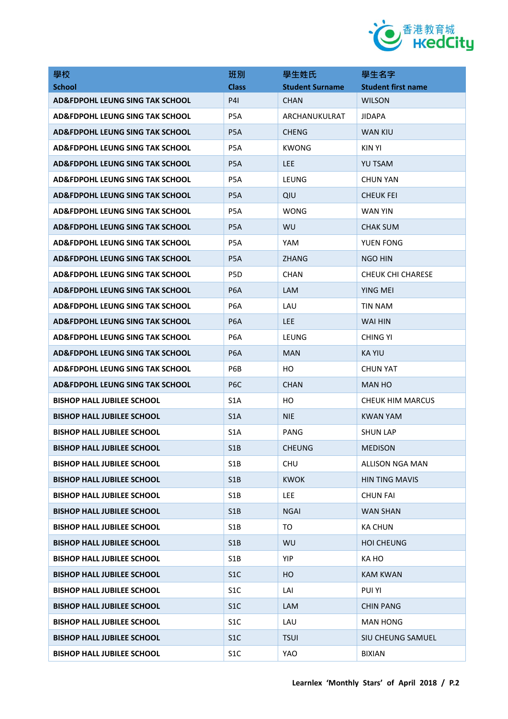

| 學校                                         | 班別               | 學生姓氏                   | 學生名字                      |
|--------------------------------------------|------------------|------------------------|---------------------------|
| <b>School</b>                              | <b>Class</b>     | <b>Student Surname</b> | <b>Student first name</b> |
| AD&FDPOHL LEUNG SING TAK SCHOOL            | <b>P41</b>       | <b>CHAN</b>            | <b>WILSON</b>             |
| AD&FDPOHL LEUNG SING TAK SCHOOL            | P5A              | ARCHANUKULRAT          | <b>JIDAPA</b>             |
| AD&FDPOHL LEUNG SING TAK SCHOOL            | P <sub>5</sub> A | <b>CHENG</b>           | <b>WAN KIU</b>            |
| AD&FDPOHL LEUNG SING TAK SCHOOL            | P <sub>5</sub> A | <b>KWONG</b>           | KIN YI                    |
| AD&FDPOHL LEUNG SING TAK SCHOOL            | P <sub>5</sub> A | <b>LEE</b>             | <b>YU TSAM</b>            |
| <b>AD&amp;FDPOHL LEUNG SING TAK SCHOOL</b> | P <sub>5</sub> A | <b>LEUNG</b>           | <b>CHUN YAN</b>           |
| AD&FDPOHL LEUNG SING TAK SCHOOL            | P <sub>5</sub> A | QIU                    | CHEUK FEI                 |
| AD&FDPOHL LEUNG SING TAK SCHOOL            | P <sub>5</sub> A | <b>WONG</b>            | WAN YIN                   |
| AD&FDPOHL LEUNG SING TAK SCHOOL            | P <sub>5</sub> A | <b>WU</b>              | <b>CHAK SUM</b>           |
| AD&FDPOHL LEUNG SING TAK SCHOOL            | P <sub>5</sub> A | YAM                    | YUEN FONG                 |
| AD&FDPOHL LEUNG SING TAK SCHOOL            | P <sub>5</sub> A | <b>ZHANG</b>           | NGO HIN                   |
| AD&FDPOHL LEUNG SING TAK SCHOOL            | P <sub>5</sub> D | <b>CHAN</b>            | <b>CHEUK CHI CHARESE</b>  |
| AD&FDPOHL LEUNG SING TAK SCHOOL            | P <sub>6</sub> A | <b>LAM</b>             | YING MEI                  |
| AD&FDPOHL LEUNG SING TAK SCHOOL            | P6A              | LAU                    | TIN NAM                   |
| AD&FDPOHL LEUNG SING TAK SCHOOL            | P <sub>6</sub> A | <b>LEE</b>             | WAI HIN                   |
| AD&FDPOHL LEUNG SING TAK SCHOOL            | P <sub>6</sub> A | LEUNG                  | CHING YI                  |
| AD&FDPOHL LEUNG SING TAK SCHOOL            | P <sub>6</sub> A | <b>MAN</b>             | KA YIU                    |
| AD&FDPOHL LEUNG SING TAK SCHOOL            | P6B              | HO                     | <b>CHUN YAT</b>           |
| AD&FDPOHL LEUNG SING TAK SCHOOL            | P <sub>6</sub> C | <b>CHAN</b>            | MAN HO                    |
| <b>BISHOP HALL JUBILEE SCHOOL</b>          | S <sub>1</sub> A | HО                     | <b>CHEUK HIM MARCUS</b>   |
| <b>BISHOP HALL JUBILEE SCHOOL</b>          | S <sub>1</sub> A | <b>NIE</b>             | <b>KWAN YAM</b>           |
| <b>BISHOP HALL JUBILEE SCHOOL</b>          | S <sub>1</sub> A | PANG                   | SHUN LAP                  |
| <b>BISHOP HALL JUBILEE SCHOOL</b>          | S1B              | <b>CHEUNG</b>          | <b>MEDISON</b>            |
| <b>BISHOP HALL JUBILEE SCHOOL</b>          | S <sub>1</sub> B | <b>CHU</b>             | ALLISON NGA MAN           |
| BISHOP HALL JUBILEE SCHOOL                 | S1B              | <b>KWOK</b>            | HIN TING MAVIS            |
| <b>BISHOP HALL JUBILEE SCHOOL</b>          | S <sub>1</sub> B | <b>LEE</b>             | <b>CHUN FAI</b>           |
| <b>BISHOP HALL JUBILEE SCHOOL</b>          | S1B              | <b>NGAI</b>            | <b>WAN SHAN</b>           |
| <b>BISHOP HALL JUBILEE SCHOOL</b>          | S <sub>1</sub> B | TO                     | <b>KA CHUN</b>            |
| <b>BISHOP HALL JUBILEE SCHOOL</b>          | S1B              | WU                     | <b>HOI CHEUNG</b>         |
| <b>BISHOP HALL JUBILEE SCHOOL</b>          | S <sub>1</sub> B | YIP                    | KA HO                     |
| <b>BISHOP HALL JUBILEE SCHOOL</b>          | S <sub>1</sub> C | HO.                    | KAM KWAN                  |
| <b>BISHOP HALL JUBILEE SCHOOL</b>          | S <sub>1</sub> C | LAI                    | <b>PUI YI</b>             |
| <b>BISHOP HALL JUBILEE SCHOOL</b>          | S <sub>1</sub> C | <b>LAM</b>             | <b>CHIN PANG</b>          |
| <b>BISHOP HALL JUBILEE SCHOOL</b>          | S <sub>1</sub> C | LAU                    | <b>MAN HONG</b>           |
| <b>BISHOP HALL JUBILEE SCHOOL</b>          | S <sub>1</sub> C | <b>TSUI</b>            | <b>SIU CHEUNG SAMUEL</b>  |
| <b>BISHOP HALL JUBILEE SCHOOL</b>          | S <sub>1</sub> C | YAO                    | <b>BIXIAN</b>             |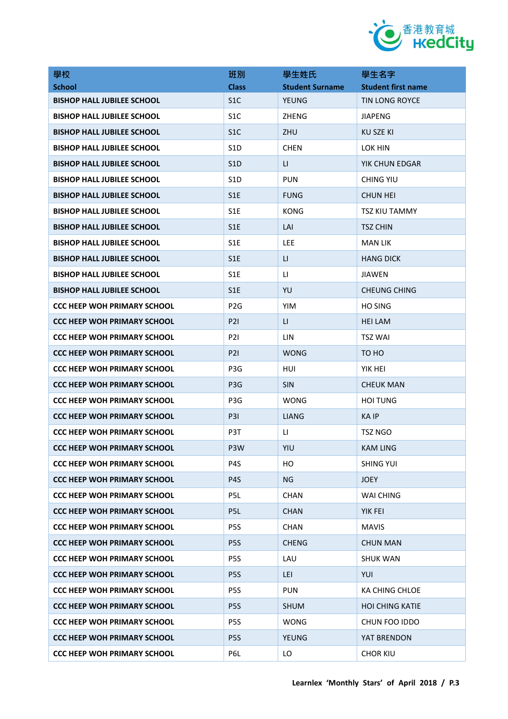

| 學校                                 | 班別               | 學生姓氏                   | 學生名字                      |
|------------------------------------|------------------|------------------------|---------------------------|
| <b>School</b>                      | <b>Class</b>     | <b>Student Surname</b> | <b>Student first name</b> |
| <b>BISHOP HALL JUBILEE SCHOOL</b>  | S <sub>1</sub> C | <b>YEUNG</b>           | <b>TIN LONG ROYCE</b>     |
| <b>BISHOP HALL JUBILEE SCHOOL</b>  | S <sub>1</sub> C | ZHENG                  | <b>JIAPENG</b>            |
| <b>BISHOP HALL JUBILEE SCHOOL</b>  | S <sub>1</sub> C | ZHU                    | KU SZE KI                 |
| <b>BISHOP HALL JUBILEE SCHOOL</b>  | S <sub>1</sub> D | <b>CHEN</b>            | <b>LOK HIN</b>            |
| <b>BISHOP HALL JUBILEE SCHOOL</b>  | S <sub>1</sub> D | $\sqcup$               | YIK CHUN EDGAR            |
| <b>BISHOP HALL JUBILEE SCHOOL</b>  | S <sub>1</sub> D | <b>PUN</b>             | CHING YIU                 |
| <b>BISHOP HALL JUBILEE SCHOOL</b>  | S <sub>1</sub> E | FUNG                   | <b>CHUN HEI</b>           |
| <b>BISHOP HALL JUBILEE SCHOOL</b>  | S <sub>1</sub> E | KONG                   | TSZ KIU TAMMY             |
| <b>BISHOP HALL JUBILEE SCHOOL</b>  | S <sub>1</sub> E | LAI                    | <b>TSZ CHIN</b>           |
| <b>BISHOP HALL JUBILEE SCHOOL</b>  | S <sub>1</sub> E | LEE.                   | <b>MAN LIK</b>            |
| <b>BISHOP HALL JUBILEE SCHOOL</b>  | S <sub>1</sub> E | LI                     | <b>HANG DICK</b>          |
| <b>BISHOP HALL JUBILEE SCHOOL</b>  | S <sub>1E</sub>  | LI.                    | <b>JIAWEN</b>             |
| <b>BISHOP HALL JUBILEE SCHOOL</b>  | S <sub>1</sub> E | YU                     | <b>CHEUNG CHING</b>       |
| <b>CCC HEEP WOH PRIMARY SCHOOL</b> | P <sub>2</sub> G | <b>YIM</b>             | <b>HO SING</b>            |
| <b>CCC HEEP WOH PRIMARY SCHOOL</b> | P2I              | $\mathsf{L}$           | <b>HEI LAM</b>            |
| <b>CCC HEEP WOH PRIMARY SCHOOL</b> | <b>P21</b>       | LIN                    | <b>TSZ WAI</b>            |
| <b>CCC HEEP WOH PRIMARY SCHOOL</b> | P2I              | <b>WONG</b>            | TO HO                     |
| <b>CCC HEEP WOH PRIMARY SCHOOL</b> | P3G              | HUI                    | YIK HEI                   |
| <b>CCC HEEP WOH PRIMARY SCHOOL</b> | P <sub>3</sub> G | <b>SIN</b>             | <b>CHEUK MAN</b>          |
| <b>CCC HEEP WOH PRIMARY SCHOOL</b> | P3G              | WONG                   | <b>HOI TUNG</b>           |
| <b>CCC HEEP WOH PRIMARY SCHOOL</b> | <b>P31</b>       | <b>LIANG</b>           | <b>KAIP</b>               |
| <b>CCC HEEP WOH PRIMARY SCHOOL</b> | P3T              | LI.                    | TSZ NGO                   |
| CCC HEEP WOH PRIMARY SCHOOL        | P3W              | YIU                    | <b>KAM LING</b>           |
| <b>CCC HEEP WOH PRIMARY SCHOOL</b> | P4S              | HO                     | <b>SHING YUI</b>          |
| <b>CCC HEEP WOH PRIMARY SCHOOL</b> | P4S              | <b>NG</b>              | <b>JOEY</b>               |
| <b>CCC HEEP WOH PRIMARY SCHOOL</b> | P5L              | <b>CHAN</b>            | <b>WAI CHING</b>          |
| <b>CCC HEEP WOH PRIMARY SCHOOL</b> | P5L              | <b>CHAN</b>            | <b>YIK FEI</b>            |
| <b>CCC HEEP WOH PRIMARY SCHOOL</b> | P <sub>5</sub> S | <b>CHAN</b>            | <b>MAVIS</b>              |
| <b>CCC HEEP WOH PRIMARY SCHOOL</b> | P <sub>5</sub> S | <b>CHENG</b>           | <b>CHUN MAN</b>           |
| <b>CCC HEEP WOH PRIMARY SCHOOL</b> | P <sub>5</sub> S | LAU                    | <b>SHUK WAN</b>           |
| <b>CCC HEEP WOH PRIMARY SCHOOL</b> | P <sub>5</sub> S | LEI                    | YUI                       |
| <b>CCC HEEP WOH PRIMARY SCHOOL</b> | P <sub>5</sub> S | <b>PUN</b>             | KA CHING CHLOE            |
| <b>CCC HEEP WOH PRIMARY SCHOOL</b> | P <sub>5</sub> S | <b>SHUM</b>            | <b>HOI CHING KATIE</b>    |
| <b>CCC HEEP WOH PRIMARY SCHOOL</b> | P <sub>5</sub> S | <b>WONG</b>            | CHUN FOO IDDO             |
| <b>CCC HEEP WOH PRIMARY SCHOOL</b> | P <sub>5</sub> S | <b>YEUNG</b>           | YAT BRENDON               |
| <b>CCC HEEP WOH PRIMARY SCHOOL</b> | P6L              | LO                     | <b>CHOR KIU</b>           |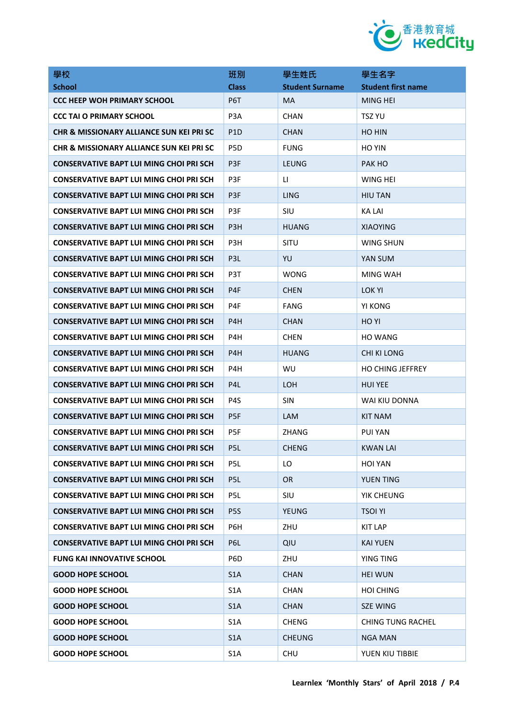

| 學校                                                  | 班別               | 學生姓氏                   | 學生名字                      |
|-----------------------------------------------------|------------------|------------------------|---------------------------|
| <b>School</b>                                       | <b>Class</b>     | <b>Student Surname</b> | <b>Student first name</b> |
| <b>CCC HEEP WOH PRIMARY SCHOOL</b>                  | P6T              | MA                     | <b>MING HEI</b>           |
| <b>CCC TAI O PRIMARY SCHOOL</b>                     | P <sub>3</sub> A | <b>CHAN</b>            | TSZ YU                    |
| <b>CHR &amp; MISSIONARY ALLIANCE SUN KEI PRI SC</b> | P <sub>1</sub> D | <b>CHAN</b>            | HO HIN                    |
| CHR & MISSIONARY ALLIANCE SUN KEI PRI SC            | P <sub>5</sub> D | <b>FUNG</b>            | HO YIN                    |
| <b>CONSERVATIVE BAPT LUI MING CHOI PRI SCH</b>      | P <sub>3F</sub>  | LEUNG                  | PAK HO                    |
| <b>CONSERVATIVE BAPT LUI MING CHOI PRI SCH</b>      | P <sub>3F</sub>  | LI.                    | WING HEI                  |
| <b>CONSERVATIVE BAPT LUI MING CHOI PRI SCH</b>      | P <sub>3F</sub>  | <b>LING</b>            | <b>HIU TAN</b>            |
| <b>CONSERVATIVE BAPT LUI MING CHOI PRI SCH</b>      | P <sub>3F</sub>  | SIU                    | KA LAI                    |
| <b>CONSERVATIVE BAPT LUI MING CHOI PRI SCH</b>      | P <sub>3H</sub>  | <b>HUANG</b>           | <b>XIAOYING</b>           |
| <b>CONSERVATIVE BAPT LUI MING CHOI PRI SCH</b>      | P <sub>3</sub> H | SITU                   | WING SHUN                 |
| <b>CONSERVATIVE BAPT LUI MING CHOI PRI SCH</b>      | P <sub>3</sub> L | YU                     | YAN SUM                   |
| <b>CONSERVATIVE BAPT LUI MING CHOI PRI SCH</b>      | P <sub>3</sub> T | <b>WONG</b>            | MING WAH                  |
| CONSERVATIVE BAPT LUI MING CHOI PRI SCH             | P <sub>4F</sub>  | <b>CHEN</b>            | LOK YI                    |
| <b>CONSERVATIVE BAPT LUI MING CHOI PRI SCH</b>      | P4F              | <b>FANG</b>            | YI KONG                   |
| <b>CONSERVATIVE BAPT LUI MING CHOI PRI SCH</b>      | P4H              | <b>CHAN</b>            | HO YI                     |
| <b>CONSERVATIVE BAPT LUI MING CHOI PRI SCH</b>      | P4H              | <b>CHEN</b>            | <b>HO WANG</b>            |
| CONSERVATIVE BAPT LUI MING CHOI PRI SCH             | P4H              | <b>HUANG</b>           | <b>CHI KI LONG</b>        |
| <b>CONSERVATIVE BAPT LUI MING CHOI PRI SCH</b>      | P4H              | WU                     | <b>HO CHING JEFFREY</b>   |
| <b>CONSERVATIVE BAPT LUI MING CHOI PRI SCH</b>      | P <sub>4</sub> L | LOH                    | <b>HUI YEE</b>            |
| <b>CONSERVATIVE BAPT LUI MING CHOI PRI SCH</b>      | P4S              | <b>SIN</b>             | WAI KIU DONNA             |
| <b>CONSERVATIVE BAPT LUI MING CHOI PRI SCH</b>      | P <sub>5F</sub>  | <b>LAM</b>             | <b>KIT NAM</b>            |
| <b>CONSERVATIVE BAPT LUI MING CHOI PRI SCH</b>      | P <sub>5F</sub>  | <b>ZHANG</b>           | PUI YAN                   |
| <b>CONSERVATIVE BAPT LUI MING CHOI PRI SCH</b>      | P <sub>5L</sub>  | <b>CHENG</b>           | <b>KWAN LAI</b>           |
| <b>CONSERVATIVE BAPT LUI MING CHOI PRI SCH</b>      | P5L              | LO                     | <b>HOI YAN</b>            |
| <b>CONSERVATIVE BAPT LUI MING CHOI PRI SCH</b>      | P <sub>5</sub> L | <b>OR</b>              | <b>YUEN TING</b>          |
| <b>CONSERVATIVE BAPT LUI MING CHOI PRI SCH</b>      | P5L              | SIU                    | YIK CHEUNG                |
| <b>CONSERVATIVE BAPT LUI MING CHOI PRI SCH</b>      | P <sub>5</sub> S | <b>YEUNG</b>           | <b>TSOI YI</b>            |
| <b>CONSERVATIVE BAPT LUI MING CHOI PRI SCH</b>      | P6H              | ZHU                    | <b>KIT LAP</b>            |
| <b>CONSERVATIVE BAPT LUI MING CHOI PRI SCH</b>      | P6L              | QIU                    | <b>KAI YUEN</b>           |
| <b>FUNG KAI INNOVATIVE SCHOOL</b>                   | P <sub>6</sub> D | ZHU                    | <b>YING TING</b>          |
| <b>GOOD HOPE SCHOOL</b>                             | S <sub>1</sub> A | <b>CHAN</b>            | <b>HEI WUN</b>            |
| <b>GOOD HOPE SCHOOL</b>                             | S <sub>1</sub> A | <b>CHAN</b>            | <b>HOI CHING</b>          |
| <b>GOOD HOPE SCHOOL</b>                             | S <sub>1</sub> A | <b>CHAN</b>            | <b>SZE WING</b>           |
| <b>GOOD HOPE SCHOOL</b>                             | S <sub>1</sub> A | <b>CHENG</b>           | <b>CHING TUNG RACHEL</b>  |
| <b>GOOD HOPE SCHOOL</b>                             | S <sub>1</sub> A | <b>CHEUNG</b>          | <b>NGA MAN</b>            |
| <b>GOOD HOPE SCHOOL</b>                             | S <sub>1</sub> A | CHU                    | YUEN KIU TIBBIE           |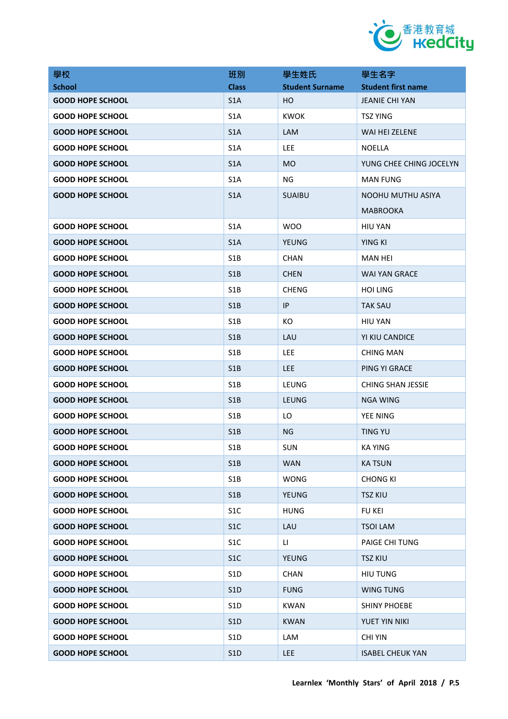

| 學校                      | 班別               | 學生姓氏                   | 學生名字                      |
|-------------------------|------------------|------------------------|---------------------------|
| <b>School</b>           | <b>Class</b>     | <b>Student Surname</b> | <b>Student first name</b> |
| <b>GOOD HOPE SCHOOL</b> | S <sub>1</sub> A | HO                     | <b>JEANIE CHI YAN</b>     |
| <b>GOOD HOPE SCHOOL</b> | S <sub>1</sub> A | <b>KWOK</b>            | <b>TSZ YING</b>           |
| <b>GOOD HOPE SCHOOL</b> | S <sub>1</sub> A | LAM                    | WAI HEI ZELENE            |
| <b>GOOD HOPE SCHOOL</b> | S <sub>1</sub> A | <b>LEE</b>             | <b>NOELLA</b>             |
| <b>GOOD HOPE SCHOOL</b> | S <sub>1</sub> A | <b>MO</b>              | YUNG CHEE CHING JOCELYN   |
| <b>GOOD HOPE SCHOOL</b> | S <sub>1</sub> A | NG.                    | <b>MAN FUNG</b>           |
| <b>GOOD HOPE SCHOOL</b> | S <sub>1</sub> A | <b>SUAIBU</b>          | NOOHU MUTHU ASIYA         |
|                         |                  |                        | <b>MABROOKA</b>           |
| <b>GOOD HOPE SCHOOL</b> | S <sub>1</sub> A | WOO                    | HIU YAN                   |
| <b>GOOD HOPE SCHOOL</b> | S <sub>1</sub> A | <b>YEUNG</b>           | YING KI                   |
| <b>GOOD HOPE SCHOOL</b> | S <sub>1</sub> B | <b>CHAN</b>            | MAN HEI                   |
| <b>GOOD HOPE SCHOOL</b> | S1B              | <b>CHEN</b>            | WAI YAN GRACE             |
| <b>GOOD HOPE SCHOOL</b> | S <sub>1</sub> B | <b>CHENG</b>           | <b>HOI LING</b>           |
| <b>GOOD HOPE SCHOOL</b> | S1B              | IP                     | <b>TAK SAU</b>            |
| <b>GOOD HOPE SCHOOL</b> | S <sub>1</sub> B | КO                     | HIU YAN                   |
| <b>GOOD HOPE SCHOOL</b> | S1B              | LAU                    | YI KIU CANDICE            |
| <b>GOOD HOPE SCHOOL</b> | S1B              | <b>LEE</b>             | CHING MAN                 |
| <b>GOOD HOPE SCHOOL</b> | S1B              | <b>LEE</b>             | PING YI GRACE             |
| <b>GOOD HOPE SCHOOL</b> | S <sub>1</sub> B | LEUNG                  | <b>CHING SHAN JESSIE</b>  |
| <b>GOOD HOPE SCHOOL</b> | S1B              | <b>LEUNG</b>           | <b>NGA WING</b>           |
| <b>GOOD HOPE SCHOOL</b> | S <sub>1</sub> B | LO                     | YEE NING                  |
| <b>GOOD HOPE SCHOOL</b> | S1B              | <b>NG</b>              | <b>TING YU</b>            |
| <b>GOOD HOPE SCHOOL</b> | S <sub>1</sub> B | SUN                    | <b>KA YING</b>            |
| <b>GOOD HOPE SCHOOL</b> | S1B              | <b>WAN</b>             | <b>KATSUN</b>             |
| <b>GOOD HOPE SCHOOL</b> | S1B              | <b>WONG</b>            | <b>CHONG KI</b>           |
| <b>GOOD HOPE SCHOOL</b> | S1B              | <b>YEUNG</b>           | <b>TSZ KIU</b>            |
| <b>GOOD HOPE SCHOOL</b> | S <sub>1</sub> C | <b>HUNG</b>            | <b>FU KEI</b>             |
| <b>GOOD HOPE SCHOOL</b> | S1C              | LAU                    | <b>TSOI LAM</b>           |
| <b>GOOD HOPE SCHOOL</b> | S <sub>1</sub> C | LI.                    | <b>PAIGE CHI TUNG</b>     |
| <b>GOOD HOPE SCHOOL</b> | S1C              | <b>YEUNG</b>           | <b>TSZ KIU</b>            |
| <b>GOOD HOPE SCHOOL</b> | S <sub>1</sub> D | <b>CHAN</b>            | <b>HIU TUNG</b>           |
| <b>GOOD HOPE SCHOOL</b> | S <sub>1</sub> D | <b>FUNG</b>            | <b>WING TUNG</b>          |
| <b>GOOD HOPE SCHOOL</b> | S <sub>1</sub> D | <b>KWAN</b>            | <b>SHINY PHOEBE</b>       |
| <b>GOOD HOPE SCHOOL</b> | S1D              | <b>KWAN</b>            | YUET YIN NIKI             |
| <b>GOOD HOPE SCHOOL</b> | S <sub>1</sub> D | LAM                    | <b>CHI YIN</b>            |
| <b>GOOD HOPE SCHOOL</b> | S1D              | LEE                    | <b>ISABEL CHEUK YAN</b>   |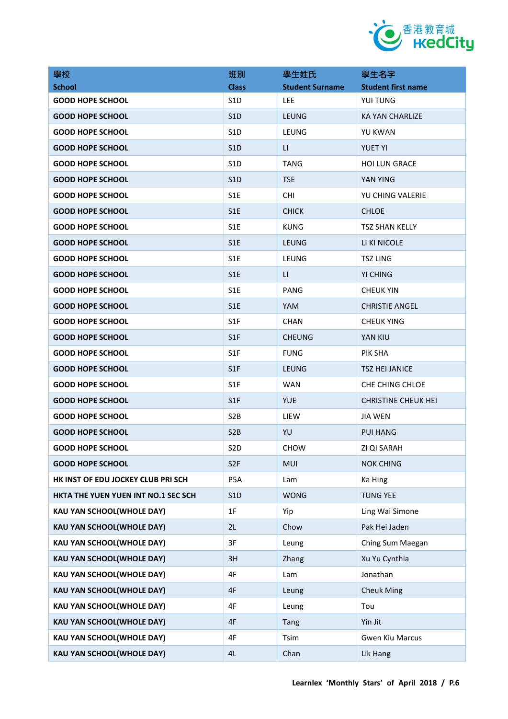

| 學校                                  | 班別               | 學生姓氏                   | 學生名字                      |
|-------------------------------------|------------------|------------------------|---------------------------|
| <b>School</b>                       | <b>Class</b>     | <b>Student Surname</b> | <b>Student first name</b> |
| <b>GOOD HOPE SCHOOL</b>             | S <sub>1</sub> D | <b>LEE</b>             | YUI TUNG                  |
| <b>GOOD HOPE SCHOOL</b>             | S <sub>1</sub> D | <b>LEUNG</b>           | <b>KA YAN CHARLIZE</b>    |
| <b>GOOD HOPE SCHOOL</b>             | S <sub>1</sub> D | LEUNG                  | YU KWAN                   |
| <b>GOOD HOPE SCHOOL</b>             | S <sub>1</sub> D | LI.                    | <b>YUET YI</b>            |
| <b>GOOD HOPE SCHOOL</b>             | S <sub>1</sub> D | TANG                   | <b>HOI LUN GRACE</b>      |
| <b>GOOD HOPE SCHOOL</b>             | S <sub>1</sub> D | <b>TSE</b>             | YAN YING                  |
| <b>GOOD HOPE SCHOOL</b>             | S <sub>1</sub> E | <b>CHI</b>             | YU CHING VALERIE          |
| <b>GOOD HOPE SCHOOL</b>             | S <sub>1</sub> E | <b>CHICK</b>           | <b>CHLOE</b>              |
| <b>GOOD HOPE SCHOOL</b>             | S <sub>1</sub> E | <b>KUNG</b>            | <b>TSZ SHAN KELLY</b>     |
| <b>GOOD HOPE SCHOOL</b>             | S <sub>1</sub> E | <b>LEUNG</b>           | LI KI NICOLE              |
| <b>GOOD HOPE SCHOOL</b>             | S <sub>1</sub> E | LEUNG                  | <b>TSZ LING</b>           |
| <b>GOOD HOPE SCHOOL</b>             | S <sub>1</sub> E | LI.                    | YI CHING                  |
| <b>GOOD HOPE SCHOOL</b>             | S <sub>1</sub> E | PANG                   | <b>CHEUK YIN</b>          |
| <b>GOOD HOPE SCHOOL</b>             | S <sub>1</sub> E | YAM                    | <b>CHRISTIE ANGEL</b>     |
| <b>GOOD HOPE SCHOOL</b>             | S1F              | <b>CHAN</b>            | <b>CHEUK YING</b>         |
| <b>GOOD HOPE SCHOOL</b>             | S <sub>1</sub> F | <b>CHEUNG</b>          | YAN KIU                   |
| <b>GOOD HOPE SCHOOL</b>             | S <sub>1F</sub>  | <b>FUNG</b>            | PIK SHA                   |
| <b>GOOD HOPE SCHOOL</b>             | S1F              | LEUNG                  | <b>TSZ HEI JANICE</b>     |
| <b>GOOD HOPE SCHOOL</b>             | S <sub>1</sub> F | <b>WAN</b>             | CHE CHING CHLOE           |
| <b>GOOD HOPE SCHOOL</b>             | S <sub>1</sub> F | <b>YUE</b>             | CHRISTINE CHEUK HEI       |
| <b>GOOD HOPE SCHOOL</b>             | S <sub>2</sub> B | LIEW                   | <b>JIA WEN</b>            |
| <b>GOOD HOPE SCHOOL</b>             | S <sub>2</sub> B | YU                     | <b>PUI HANG</b>           |
| <b>GOOD HOPE SCHOOL</b>             | S <sub>2</sub> D | CHOW                   | ZI QI SARAH               |
| <b>GOOD HOPE SCHOOL</b>             | S <sub>2F</sub>  | <b>MUI</b>             | <b>NOK CHING</b>          |
| HK INST OF EDU JOCKEY CLUB PRI SCH  | P <sub>5</sub> A | Lam                    | Ka Hing                   |
| HKTA THE YUEN YUEN INT NO.1 SEC SCH | S1D              | <b>WONG</b>            | <b>TUNG YEE</b>           |
| <b>KAU YAN SCHOOL(WHOLE DAY)</b>    | 1F               | Yip                    | Ling Wai Simone           |
| <b>KAU YAN SCHOOL(WHOLE DAY)</b>    | 2L               | Chow                   | Pak Hei Jaden             |
| <b>KAU YAN SCHOOL(WHOLE DAY)</b>    | 3F               | Leung                  | Ching Sum Maegan          |
| <b>KAU YAN SCHOOL(WHOLE DAY)</b>    | 3H               | Zhang                  | Xu Yu Cynthia             |
| KAU YAN SCHOOL(WHOLE DAY)           | 4F               | Lam                    | Jonathan                  |
| <b>KAU YAN SCHOOL(WHOLE DAY)</b>    | 4F               | Leung                  | <b>Cheuk Ming</b>         |
| <b>KAU YAN SCHOOL(WHOLE DAY)</b>    | 4F               | Leung                  | Tou                       |
| KAU YAN SCHOOL(WHOLE DAY)           | 4F               | Tang                   | Yin Jit                   |
| <b>KAU YAN SCHOOL(WHOLE DAY)</b>    | 4F               | Tsim                   | <b>Gwen Kiu Marcus</b>    |
| KAU YAN SCHOOL(WHOLE DAY)           | 4L               | Chan                   | Lik Hang                  |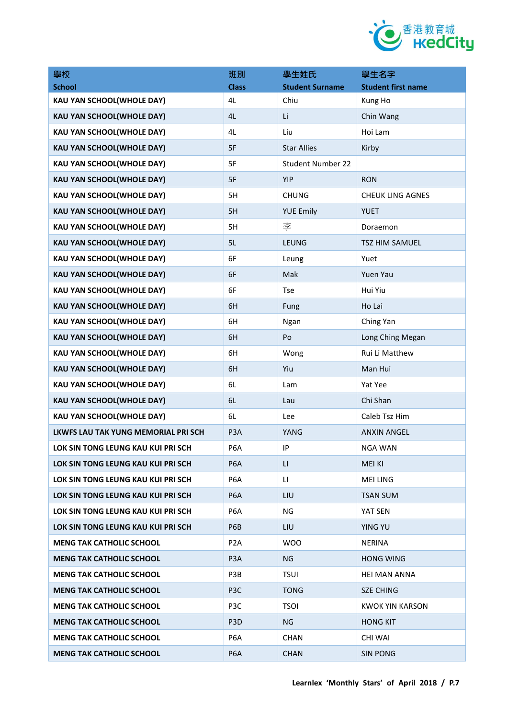

| 學校                                  | 班別               | 學生姓氏                     | 學生名字                      |
|-------------------------------------|------------------|--------------------------|---------------------------|
| <b>School</b>                       | <b>Class</b>     | <b>Student Surname</b>   | <b>Student first name</b> |
| <b>KAU YAN SCHOOL(WHOLE DAY)</b>    | 4L               | Chiu                     | Kung Ho                   |
| <b>KAU YAN SCHOOL(WHOLE DAY)</b>    | 4L               | Li                       | Chin Wang                 |
| <b>KAU YAN SCHOOL(WHOLE DAY)</b>    | 4L               | Liu                      | Hoi Lam                   |
| <b>KAU YAN SCHOOL(WHOLE DAY)</b>    | 5F               | <b>Star Allies</b>       | Kirby                     |
| <b>KAU YAN SCHOOL(WHOLE DAY)</b>    | 5F               | <b>Student Number 22</b> |                           |
| <b>KAU YAN SCHOOL(WHOLE DAY)</b>    | 5F               | YIP                      | <b>RON</b>                |
| <b>KAU YAN SCHOOL(WHOLE DAY)</b>    | 5H               | <b>CHUNG</b>             | <b>CHEUK LING AGNES</b>   |
| <b>KAU YAN SCHOOL(WHOLE DAY)</b>    | 5H               | <b>YUE Emily</b>         | <b>YUET</b>               |
| <b>KAU YAN SCHOOL(WHOLE DAY)</b>    | 5H               | 李                        | Doraemon                  |
| <b>KAU YAN SCHOOL(WHOLE DAY)</b>    | 5L               | <b>LEUNG</b>             | <b>TSZ HIM SAMUEL</b>     |
| <b>KAU YAN SCHOOL(WHOLE DAY)</b>    | 6F               | Leung                    | Yuet                      |
| <b>KAU YAN SCHOOL(WHOLE DAY)</b>    | 6F               | Mak                      | Yuen Yau                  |
| <b>KAU YAN SCHOOL(WHOLE DAY)</b>    | 6F               | <b>Tse</b>               | Hui Yiu                   |
| <b>KAU YAN SCHOOL(WHOLE DAY)</b>    | 6H               | Fung                     | Ho Lai                    |
| <b>KAU YAN SCHOOL(WHOLE DAY)</b>    | 6H               | Ngan                     | Ching Yan                 |
| <b>KAU YAN SCHOOL(WHOLE DAY)</b>    | 6H               | Po                       | Long Ching Megan          |
| <b>KAU YAN SCHOOL(WHOLE DAY)</b>    | 6H               | Wong                     | Rui Li Matthew            |
| <b>KAU YAN SCHOOL(WHOLE DAY)</b>    | 6H               | Yiu                      | Man Hui                   |
| <b>KAU YAN SCHOOL(WHOLE DAY)</b>    | 6L               | Lam                      | Yat Yee                   |
| <b>KAU YAN SCHOOL(WHOLE DAY)</b>    | 6L               | Lau                      | Chi Shan                  |
| <b>KAU YAN SCHOOL(WHOLE DAY)</b>    | 6L               | Lee                      | Caleb Tsz Him             |
| LKWFS LAU TAK YUNG MEMORIAL PRI SCH | P <sub>3</sub> A | YANG                     | <b>ANXIN ANGEL</b>        |
| LOK SIN TONG LEUNG KAU KUI PRI SCH  | P <sub>6</sub> A | IP                       | <b>NGA WAN</b>            |
| LOK SIN TONG LEUNG KAU KUI PRI SCH  | P <sub>6</sub> A | LI.                      | <b>MEI KI</b>             |
| LOK SIN TONG LEUNG KAU KUI PRI SCH  | P <sub>6</sub> A | LI.                      | <b>MEI LING</b>           |
| LOK SIN TONG LEUNG KAU KUI PRI SCH  | P <sub>6</sub> A | LIU                      | <b>TSAN SUM</b>           |
| LOK SIN TONG LEUNG KAU KUI PRI SCH  | P6A              | ΝG                       | YAT SEN                   |
| LOK SIN TONG LEUNG KAU KUI PRI SCH  | P6B              | LIU                      | <b>YING YU</b>            |
| <b>MENG TAK CATHOLIC SCHOOL</b>     | P <sub>2</sub> A | <b>WOO</b>               | <b>NERINA</b>             |
| <b>MENG TAK CATHOLIC SCHOOL</b>     | P <sub>3</sub> A | NG.                      | HONG WING                 |
| <b>MENG TAK CATHOLIC SCHOOL</b>     | P3B              | <b>TSUI</b>              | <b>HEI MAN ANNA</b>       |
| <b>MENG TAK CATHOLIC SCHOOL</b>     | P <sub>3</sub> C | <b>TONG</b>              | <b>SZE CHING</b>          |
| <b>MENG TAK CATHOLIC SCHOOL</b>     | P3C              | <b>TSOI</b>              | <b>KWOK YIN KARSON</b>    |
| <b>MENG TAK CATHOLIC SCHOOL</b>     | P <sub>3</sub> D | <b>NG</b>                | <b>HONG KIT</b>           |
| <b>MENG TAK CATHOLIC SCHOOL</b>     | P6A              | <b>CHAN</b>              | <b>CHI WAI</b>            |
| <b>MENG TAK CATHOLIC SCHOOL</b>     | P <sub>6</sub> A | <b>CHAN</b>              | <b>SIN PONG</b>           |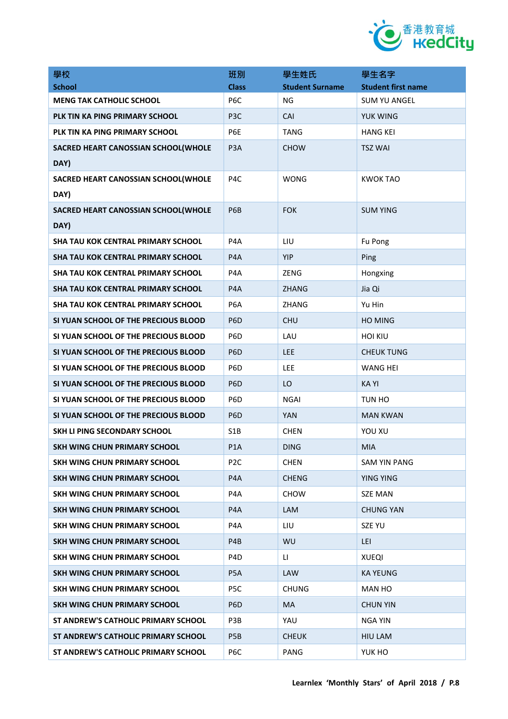

| 學校                                        | 班別               | 學生姓氏                   | 學生名字                      |
|-------------------------------------------|------------------|------------------------|---------------------------|
| <b>School</b>                             | <b>Class</b>     | <b>Student Surname</b> | <b>Student first name</b> |
| <b>MENG TAK CATHOLIC SCHOOL</b>           | P <sub>6</sub> C | ΝG                     | <b>SUM YU ANGEL</b>       |
| PLK TIN KA PING PRIMARY SCHOOL            | P <sub>3</sub> C | CAI                    | YUK WING                  |
| PLK TIN KA PING PRIMARY SCHOOL            | P6E              | TANG                   | <b>HANG KEI</b>           |
| SACRED HEART CANOSSIAN SCHOOL(WHOLE       | P <sub>3</sub> A | <b>CHOW</b>            | <b>TSZ WAI</b>            |
| DAY)                                      |                  |                        |                           |
| SACRED HEART CANOSSIAN SCHOOL(WHOLE       | P <sub>4</sub> C | <b>WONG</b>            | <b>KWOK TAO</b>           |
| DAY)                                      |                  |                        |                           |
| SACRED HEART CANOSSIAN SCHOOL(WHOLE       | P <sub>6</sub> B | <b>FOK</b>             | <b>SUM YING</b>           |
| DAY)                                      |                  |                        |                           |
| <b>SHA TAU KOK CENTRAL PRIMARY SCHOOL</b> | P4A              | LIU                    | Fu Pong                   |
| <b>SHA TAU KOK CENTRAL PRIMARY SCHOOL</b> | P <sub>4</sub> A | YIP                    | Ping                      |
| <b>SHA TAU KOK CENTRAL PRIMARY SCHOOL</b> | P <sub>4</sub> A | ZENG                   | Hongxing                  |
| SHA TAU KOK CENTRAL PRIMARY SCHOOL        | P <sub>4</sub> A | <b>ZHANG</b>           | Jia Qi                    |
| SHA TAU KOK CENTRAL PRIMARY SCHOOL        | P6A              | ZHANG                  | Yu Hin                    |
| SI YUAN SCHOOL OF THE PRECIOUS BLOOD      | P <sub>6</sub> D | <b>CHU</b>             | HO MING                   |
| SI YUAN SCHOOL OF THE PRECIOUS BLOOD      | P <sub>6</sub> D | LAU                    | <b>HOI KIU</b>            |
| SI YUAN SCHOOL OF THE PRECIOUS BLOOD      | P <sub>6</sub> D | <b>LEE</b>             | <b>CHEUK TUNG</b>         |
| SI YUAN SCHOOL OF THE PRECIOUS BLOOD      | P <sub>6</sub> D | <b>LEE</b>             | WANG HEI                  |
| SI YUAN SCHOOL OF THE PRECIOUS BLOOD      | P <sub>6</sub> D | LO                     | <b>KAYI</b>               |
| SI YUAN SCHOOL OF THE PRECIOUS BLOOD      | P6D              | <b>NGAI</b>            | TUN HO                    |
| SI YUAN SCHOOL OF THE PRECIOUS BLOOD      | P <sub>6</sub> D | <b>YAN</b>             | <b>MAN KWAN</b>           |
| SKH LI PING SECONDARY SCHOOL              | S <sub>1</sub> B | <b>CHEN</b>            | YOU XU                    |
| SKH WING CHUN PRIMARY SCHOOL              | P1A              | <b>DING</b>            | <b>MIA</b>                |
| SKH WING CHUN PRIMARY SCHOOL              | P <sub>2</sub> C | <b>CHEN</b>            | SAM YIN PANG              |
| <b>SKH WING CHUN PRIMARY SCHOOL</b>       | P4A              | <b>CHENG</b>           | <b>YING YING</b>          |
| SKH WING CHUN PRIMARY SCHOOL              | P4A              | <b>CHOW</b>            | <b>SZE MAN</b>            |
| SKH WING CHUN PRIMARY SCHOOL              | P4A              | <b>LAM</b>             | <b>CHUNG YAN</b>          |
| SKH WING CHUN PRIMARY SCHOOL              | P4A              | LIU                    | <b>SZE YU</b>             |
| SKH WING CHUN PRIMARY SCHOOL              | P4B              | WU                     | LEI                       |
| <b>SKH WING CHUN PRIMARY SCHOOL</b>       | P <sub>4</sub> D | LI.                    | <b>XUEQI</b>              |
| SKH WING CHUN PRIMARY SCHOOL              | P5A              | <b>LAW</b>             | <b>KA YEUNG</b>           |
| SKH WING CHUN PRIMARY SCHOOL              | P5C              | <b>CHUNG</b>           | MAN HO                    |
| SKH WING CHUN PRIMARY SCHOOL              | P <sub>6</sub> D | MA.                    | CHUN YIN                  |
| ST ANDREW'S CATHOLIC PRIMARY SCHOOL       | P3B              | YAU                    | <b>NGA YIN</b>            |
| ST ANDREW'S CATHOLIC PRIMARY SCHOOL       | P <sub>5</sub> B | <b>CHEUK</b>           | HIU LAM                   |
| ST ANDREW'S CATHOLIC PRIMARY SCHOOL       | P6C              | PANG                   | YUK HO                    |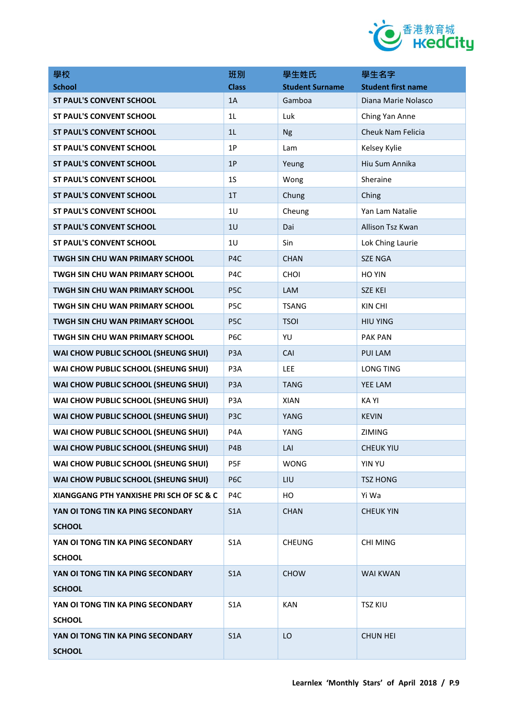

| 學校                                          | 班別               | 學生姓氏                   | 學生名字                      |
|---------------------------------------------|------------------|------------------------|---------------------------|
| <b>School</b>                               | <b>Class</b>     | <b>Student Surname</b> | <b>Student first name</b> |
| <b>ST PAUL'S CONVENT SCHOOL</b>             | 1A               | Gamboa                 | Diana Marie Nolasco       |
| <b>ST PAUL'S CONVENT SCHOOL</b>             | 1L               | Luk                    | Ching Yan Anne            |
| <b>ST PAUL'S CONVENT SCHOOL</b>             | 1L               | <b>Ng</b>              | Cheuk Nam Felicia         |
| <b>ST PAUL'S CONVENT SCHOOL</b>             | 1P               | Lam                    | Kelsey Kylie              |
| <b>ST PAUL'S CONVENT SCHOOL</b>             | 1P               | Yeung                  | Hiu Sum Annika            |
| <b>ST PAUL'S CONVENT SCHOOL</b>             | 1 <sub>S</sub>   | Wong                   | Sheraine                  |
| <b>ST PAUL'S CONVENT SCHOOL</b>             | 1 <sub>T</sub>   | Chung                  | Ching                     |
| <b>ST PAUL'S CONVENT SCHOOL</b>             | 1U               | Cheung                 | Yan Lam Natalie           |
| <b>ST PAUL'S CONVENT SCHOOL</b>             | 1 <sub>U</sub>   | Dai                    | Allison Tsz Kwan          |
| <b>ST PAUL'S CONVENT SCHOOL</b>             | 1 <sub>U</sub>   | Sin                    | Lok Ching Laurie          |
| TWGH SIN CHU WAN PRIMARY SCHOOL             | P <sub>4</sub> C | <b>CHAN</b>            | <b>SZE NGA</b>            |
| <b>TWGH SIN CHU WAN PRIMARY SCHOOL</b>      | P <sub>4</sub> C | <b>CHOI</b>            | HO YIN                    |
| <b>TWGH SIN CHU WAN PRIMARY SCHOOL</b>      | P <sub>5</sub> C | LAM                    | <b>SZE KEI</b>            |
| TWGH SIN CHU WAN PRIMARY SCHOOL             | P <sub>5</sub> C | <b>TSANG</b>           | KIN CHI                   |
| TWGH SIN CHU WAN PRIMARY SCHOOL             | P <sub>5C</sub>  | <b>TSOI</b>            | <b>HIU YING</b>           |
| TWGH SIN CHU WAN PRIMARY SCHOOL             | P <sub>6</sub> C | YU                     | <b>PAK PAN</b>            |
| WAI CHOW PUBLIC SCHOOL (SHEUNG SHUI)        | P <sub>3</sub> A | CAI                    | <b>PUI LAM</b>            |
| WAI CHOW PUBLIC SCHOOL (SHEUNG SHUI)        | P <sub>3</sub> A | <b>LEE</b>             | <b>LONG TING</b>          |
| WAI CHOW PUBLIC SCHOOL (SHEUNG SHUI)        | P <sub>3</sub> A | <b>TANG</b>            | YEE LAM                   |
| WAI CHOW PUBLIC SCHOOL (SHEUNG SHUI)        | P <sub>3</sub> A | XIAN                   | <b>KAYI</b>               |
| WAI CHOW PUBLIC SCHOOL (SHEUNG SHUI)        | P <sub>3</sub> C | YANG                   | <b>KEVIN</b>              |
| WAI CHOW PUBLIC SCHOOL (SHEUNG SHUI)        | P <sub>4</sub> A | YANG                   | <b>ZIMING</b>             |
| WAI CHOW PUBLIC SCHOOL (SHEUNG SHUI)        | P4B              | LAI                    | <b>CHEUK YIU</b>          |
| <b>WAI CHOW PUBLIC SCHOOL (SHEUNG SHUI)</b> | P5F              | <b>WONG</b>            | <b>YIN YU</b>             |
| WAI CHOW PUBLIC SCHOOL (SHEUNG SHUI)        | P <sub>6</sub> C | LIU                    | <b>TSZ HONG</b>           |
| XIANGGANG PTH YANXISHE PRI SCH OF SC & C    | P4C              | HO                     | Yi Wa                     |
| YAN OI TONG TIN KA PING SECONDARY           | S1A              | <b>CHAN</b>            | <b>CHEUK YIN</b>          |
| <b>SCHOOL</b>                               |                  |                        |                           |
| YAN OI TONG TIN KA PING SECONDARY           | S <sub>1</sub> A | <b>CHEUNG</b>          | <b>CHI MING</b>           |
| <b>SCHOOL</b>                               |                  |                        |                           |
| YAN OI TONG TIN KA PING SECONDARY           | S <sub>1</sub> A | <b>CHOW</b>            | <b>WAI KWAN</b>           |
| <b>SCHOOL</b>                               |                  |                        |                           |
| YAN OI TONG TIN KA PING SECONDARY           | S <sub>1</sub> A | <b>KAN</b>             | <b>TSZ KIU</b>            |
| <b>SCHOOL</b>                               |                  |                        |                           |
| YAN OI TONG TIN KA PING SECONDARY           | S <sub>1</sub> A | LO                     | <b>CHUN HEI</b>           |
| <b>SCHOOL</b>                               |                  |                        |                           |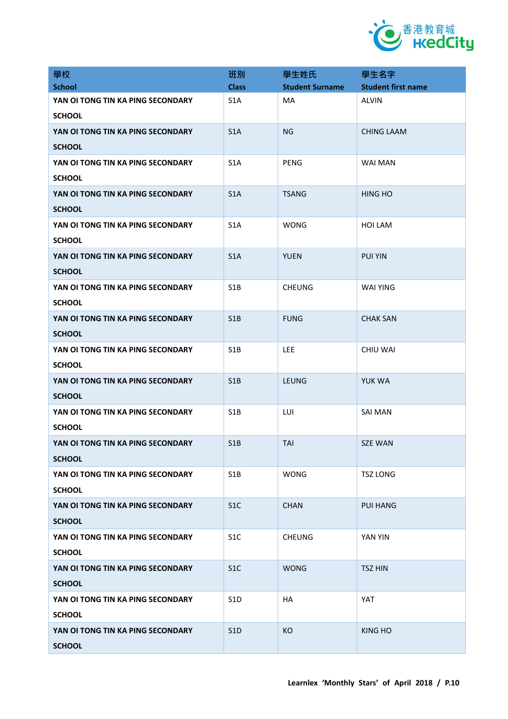

| 學校                                                 | 班別               | 學生姓氏                   | 學生名字                      |
|----------------------------------------------------|------------------|------------------------|---------------------------|
| <b>School</b>                                      | <b>Class</b>     | <b>Student Surname</b> | <b>Student first name</b> |
| YAN OI TONG TIN KA PING SECONDARY<br><b>SCHOOL</b> | S <sub>1</sub> A | MA                     | <b>ALVIN</b>              |
| YAN OI TONG TIN KA PING SECONDARY<br><b>SCHOOL</b> | S1A              | <b>NG</b>              | <b>CHING LAAM</b>         |
| YAN OI TONG TIN KA PING SECONDARY<br><b>SCHOOL</b> | S <sub>1</sub> A | <b>PENG</b>            | <b>WAI MAN</b>            |
| YAN OI TONG TIN KA PING SECONDARY<br><b>SCHOOL</b> | S <sub>1</sub> A | <b>TSANG</b>           | <b>HING HO</b>            |
| YAN OI TONG TIN KA PING SECONDARY<br><b>SCHOOL</b> | S <sub>1</sub> A | <b>WONG</b>            | HOI LAM                   |
| YAN OI TONG TIN KA PING SECONDARY<br><b>SCHOOL</b> | S1A              | <b>YUEN</b>            | <b>PUI YIN</b>            |
| YAN OI TONG TIN KA PING SECONDARY<br><b>SCHOOL</b> | S <sub>1</sub> B | <b>CHEUNG</b>          | <b>WAI YING</b>           |
| YAN OI TONG TIN KA PING SECONDARY<br><b>SCHOOL</b> | S1B              | <b>FUNG</b>            | <b>CHAK SAN</b>           |
| YAN OI TONG TIN KA PING SECONDARY<br><b>SCHOOL</b> | S <sub>1</sub> B | LEE                    | <b>CHIU WAI</b>           |
| YAN OI TONG TIN KA PING SECONDARY<br><b>SCHOOL</b> | S1B              | LEUNG                  | YUK WA                    |
| YAN OI TONG TIN KA PING SECONDARY<br><b>SCHOOL</b> | S <sub>1</sub> B | LUI                    | <b>SAI MAN</b>            |
| YAN OI TONG TIN KA PING SECONDARY<br><b>SCHOOL</b> | S1B              | <b>TAI</b>             | <b>SZE WAN</b>            |
| YAN OI TONG TIN KA PING SECONDARY<br><b>SCHOOL</b> | S1B              | <b>WONG</b>            | <b>TSZ LONG</b>           |
| YAN OI TONG TIN KA PING SECONDARY<br><b>SCHOOL</b> | S <sub>1</sub> C | <b>CHAN</b>            | <b>PUI HANG</b>           |
| YAN OI TONG TIN KA PING SECONDARY<br><b>SCHOOL</b> | S <sub>1</sub> C | <b>CHEUNG</b>          | YAN YIN                   |
| YAN OI TONG TIN KA PING SECONDARY<br><b>SCHOOL</b> | S <sub>1</sub> C | <b>WONG</b>            | <b>TSZ HIN</b>            |
| YAN OI TONG TIN KA PING SECONDARY<br><b>SCHOOL</b> | S <sub>1</sub> D | <b>HA</b>              | YAT                       |
| YAN OI TONG TIN KA PING SECONDARY<br><b>SCHOOL</b> | S <sub>1</sub> D | KO                     | KING HO                   |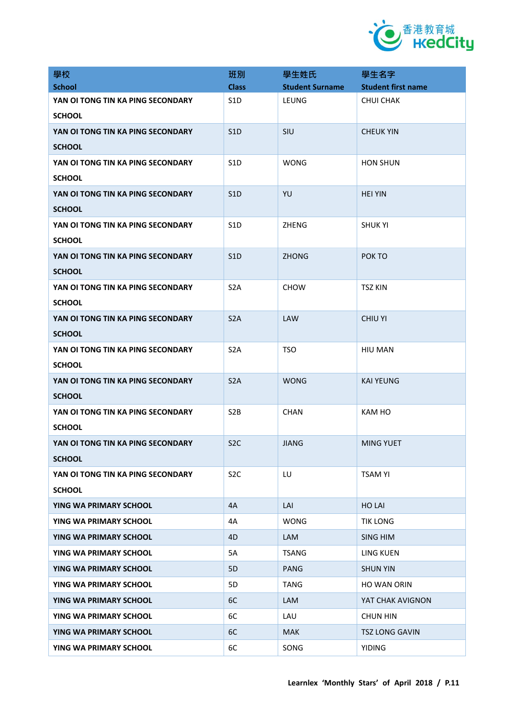

| 學校                                                 | 班別               | 學生姓氏                   | 學生名字                      |
|----------------------------------------------------|------------------|------------------------|---------------------------|
| <b>School</b>                                      | <b>Class</b>     | <b>Student Surname</b> | <b>Student first name</b> |
| YAN OI TONG TIN KA PING SECONDARY<br><b>SCHOOL</b> | S <sub>1</sub> D | LEUNG                  | <b>CHUI CHAK</b>          |
| YAN OI TONG TIN KA PING SECONDARY<br><b>SCHOOL</b> | S <sub>1</sub> D | SIU                    | <b>CHEUK YIN</b>          |
| YAN OI TONG TIN KA PING SECONDARY<br><b>SCHOOL</b> | S <sub>1</sub> D | <b>WONG</b>            | <b>HON SHUN</b>           |
| YAN OI TONG TIN KA PING SECONDARY<br><b>SCHOOL</b> | S <sub>1</sub> D | YU                     | <b>HEI YIN</b>            |
| YAN OI TONG TIN KA PING SECONDARY<br><b>SCHOOL</b> | S <sub>1</sub> D | ZHENG                  | <b>SHUK YI</b>            |
| YAN OI TONG TIN KA PING SECONDARY<br><b>SCHOOL</b> | S <sub>1</sub> D | <b>ZHONG</b>           | POK TO                    |
| YAN OI TONG TIN KA PING SECONDARY<br><b>SCHOOL</b> | S <sub>2</sub> A | <b>CHOW</b>            | <b>TSZ KIN</b>            |
| YAN OI TONG TIN KA PING SECONDARY<br><b>SCHOOL</b> | S <sub>2</sub> A | LAW                    | <b>CHIU YI</b>            |
| YAN OI TONG TIN KA PING SECONDARY<br><b>SCHOOL</b> | S <sub>2</sub> A | <b>TSO</b>             | <b>HIU MAN</b>            |
| YAN OI TONG TIN KA PING SECONDARY<br><b>SCHOOL</b> | S <sub>2</sub> A | <b>WONG</b>            | <b>KAI YEUNG</b>          |
| YAN OI TONG TIN KA PING SECONDARY<br><b>SCHOOL</b> | S <sub>2</sub> B | <b>CHAN</b>            | <b>KAM HO</b>             |
| YAN OI TONG TIN KA PING SECONDARY<br><b>SCHOOL</b> | S <sub>2</sub> C | <b>JIANG</b>           | <b>MING YUET</b>          |
| YAN OI TONG TIN KA PING SECONDARY<br><b>SCHOOL</b> | S <sub>2</sub> C | LU                     | <b>TSAM YI</b>            |
| YING WA PRIMARY SCHOOL                             | 4A               | LAI                    | <b>HO LAI</b>             |
| YING WA PRIMARY SCHOOL                             | 4A               | <b>WONG</b>            | <b>TIK LONG</b>           |
| YING WA PRIMARY SCHOOL                             | 4D               | <b>LAM</b>             | SING HIM                  |
| YING WA PRIMARY SCHOOL                             | 5A               | <b>TSANG</b>           | <b>LING KUEN</b>          |
| YING WA PRIMARY SCHOOL                             | 5D               | PANG                   | <b>SHUN YIN</b>           |
| YING WA PRIMARY SCHOOL                             | 5 <sub>D</sub>   | TANG                   | <b>HO WAN ORIN</b>        |
| YING WA PRIMARY SCHOOL                             | 6C               | <b>LAM</b>             | YAT CHAK AVIGNON          |
| YING WA PRIMARY SCHOOL                             | 6C               | LAU                    | <b>CHUN HIN</b>           |
| YING WA PRIMARY SCHOOL                             | 6C               | <b>MAK</b>             | <b>TSZ LONG GAVIN</b>     |
| YING WA PRIMARY SCHOOL                             | 6C               | SONG                   | <b>YIDING</b>             |